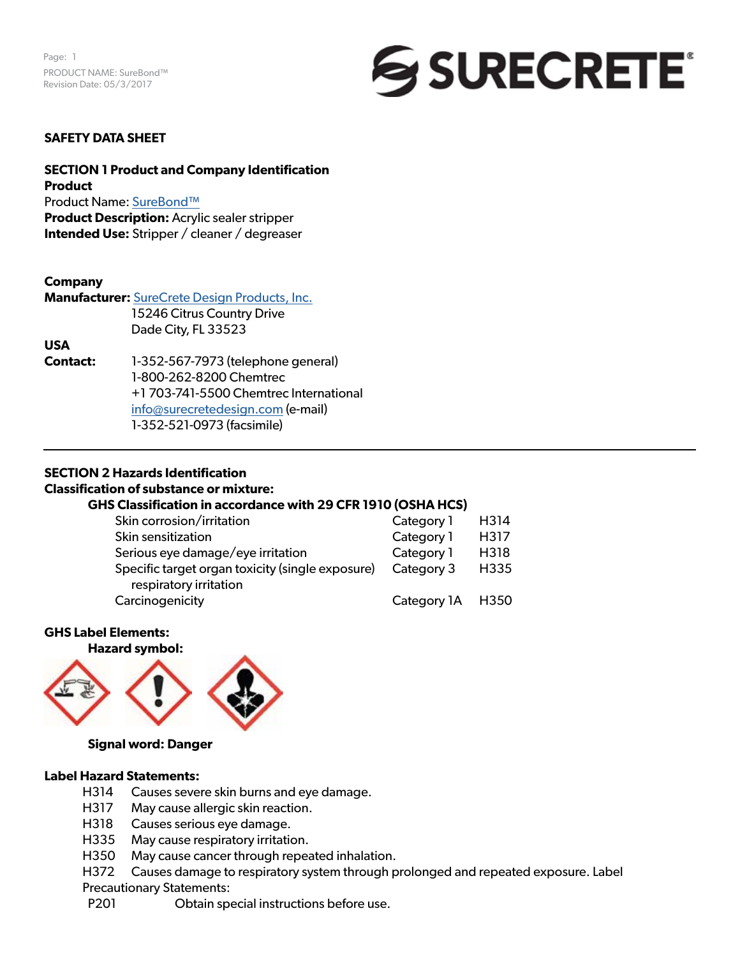

#### **SAFETY DATA SHEET**

# **SECTION 1 Product and Company Identification Product** Product Name: [SureBond™](https://www.surecretedesign.com/product/concrete-bonding-agent/) **Product Description:** Acrylic sealer stripper **Intended Use:** Stripper / cleaner / degreaser

#### **Company**

**Manufacturer:** [SureCrete Design Products, Inc.](https://www.surecretedesign.com/) 15246 Citrus Country Drive

**USA**

 Dade City, FL 33523 **Contact:** 1-352-567-7973 (telephone general) 1-800-262-8200 Chemtrec +1 703-741-5500 Chemtrec International

 [info@surecretedesign.com](mailto:info%40surecretedesign.com?subject=EnviroStrip%20-%20SDS%20Inquiry) (e-mail) 1-352-521-0973 (facsimile)

# **SECTION 2 Hazards Identification**

#### **Classification of substance or mixture:**

# **GHS Classification in accordance with 29 CFR 1910 (OSHA HCS)**

| Skin corrosion/irritation                                                  | Category 1       | H314 |
|----------------------------------------------------------------------------|------------------|------|
| Skin sensitization                                                         | Category 1       | H317 |
| Serious eye damage/eye irritation                                          | Category 1       | H318 |
| Specific target organ toxicity (single exposure)<br>respiratory irritation | Category 3       | H335 |
| Carcinogenicity                                                            | Category 1A H350 |      |

#### **GHS Label Elements:**

**Hazard symbol:**



# **Signal word: Danger**

# **Label Hazard Statements:**

- H314 Causes severe skin burns and eye damage.
- H317 May cause allergic skin reaction.
- H318 Causes serious eye damage.
- H335 May cause respiratory irritation.
- H350 May cause cancer through repeated inhalation.
- H372 Causes damage to respiratory system through prolonged and repeated exposure. Label Precautionary Statements:
	- P201 Obtain special instructions before use.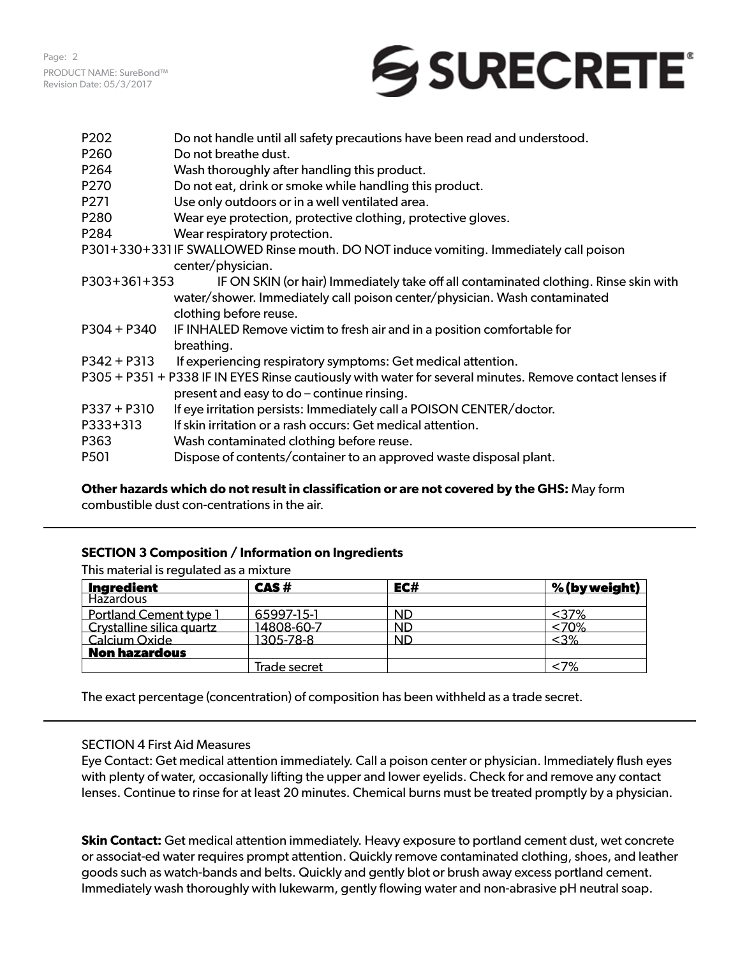

| P202                                      | Do not handle until all safety precautions have been read and understood.                                                                                                                                                                             |
|-------------------------------------------|-------------------------------------------------------------------------------------------------------------------------------------------------------------------------------------------------------------------------------------------------------|
| P <sub>260</sub>                          | Do not breathe dust.                                                                                                                                                                                                                                  |
| P264                                      | Wash thoroughly after handling this product.                                                                                                                                                                                                          |
| P270                                      | Do not eat, drink or smoke while handling this product.                                                                                                                                                                                               |
| P271                                      | Use only outdoors or in a well ventilated area.                                                                                                                                                                                                       |
| P280                                      | Wear eye protection, protective clothing, protective gloves.                                                                                                                                                                                          |
| P284                                      | Wear respiratory protection.                                                                                                                                                                                                                          |
|                                           | P301+330+331 IF SWALLOWED Rinse mouth. DO NOT induce vomiting. Immediately call poison<br>center/physician.                                                                                                                                           |
| P303+361+353                              | IF ON SKIN (or hair) Immediately take off all contaminated clothing. Rinse skin with<br>water/shower. Immediately call poison center/physician. Wash contaminated<br>clothing before reuse.                                                           |
| P304 + P340                               | IF INHALED Remove victim to fresh air and in a position comfortable for<br>breathing.                                                                                                                                                                 |
| $P342 + P313$                             | If experiencing respiratory symptoms: Get medical attention.                                                                                                                                                                                          |
|                                           | P305 + P351 + P338 IF IN EYES Rinse cautiously with water for several minutes. Remove contact lenses if<br>present and easy to do - continue rinsing.                                                                                                 |
| $P337 + P310$<br>P333+313<br>P363<br>P501 | If eye irritation persists: Immediately call a POISON CENTER/doctor.<br>If skin irritation or a rash occurs: Get medical attention.<br>Wash contaminated clothing before reuse.<br>Dispose of contents/container to an approved waste disposal plant. |
|                                           |                                                                                                                                                                                                                                                       |

# **Other hazards which do not result in classification or are not covered by the GHS:** May form

combustible dust con-centrations in the air.

# **SECTION 3 Composition / Information on Ingredients**

This material is regulated as a mixture

| <b>Ingredient</b>         | CAS#         | EC#       | <u>% (by weight)</u> |
|---------------------------|--------------|-----------|----------------------|
| <b>Hazardous</b>          |              |           |                      |
| Portland Cement type 1    | 65997-15-1   | <u>ND</u> | $37%$                |
| Crystalline silica quartz | 14808-60-7   | <b>ND</b> | <70%                 |
| <b>Calcium Oxide</b>      | 1305-78-8    | <b>ND</b> | $<$ 3%               |
| <b>Non hazardous</b>      |              |           |                      |
|                           | Trade secret |           | <7%                  |

The exact percentage (concentration) of composition has been withheld as a trade secret.

# SECTION 4 First Aid Measures

Eye Contact: Get medical attention immediately. Call a poison center or physician. Immediately flush eyes with plenty of water, occasionally lifting the upper and lower eyelids. Check for and remove any contact lenses. Continue to rinse for at least 20 minutes. Chemical burns must be treated promptly by a physician.

**Skin Contact:** Get medical attention immediately. Heavy exposure to portland cement dust, wet concrete or associat-ed water requires prompt attention. Quickly remove contaminated clothing, shoes, and leather goods such as watch-bands and belts. Quickly and gently blot or brush away excess portland cement. Immediately wash thoroughly with lukewarm, gently flowing water and non-abrasive pH neutral soap.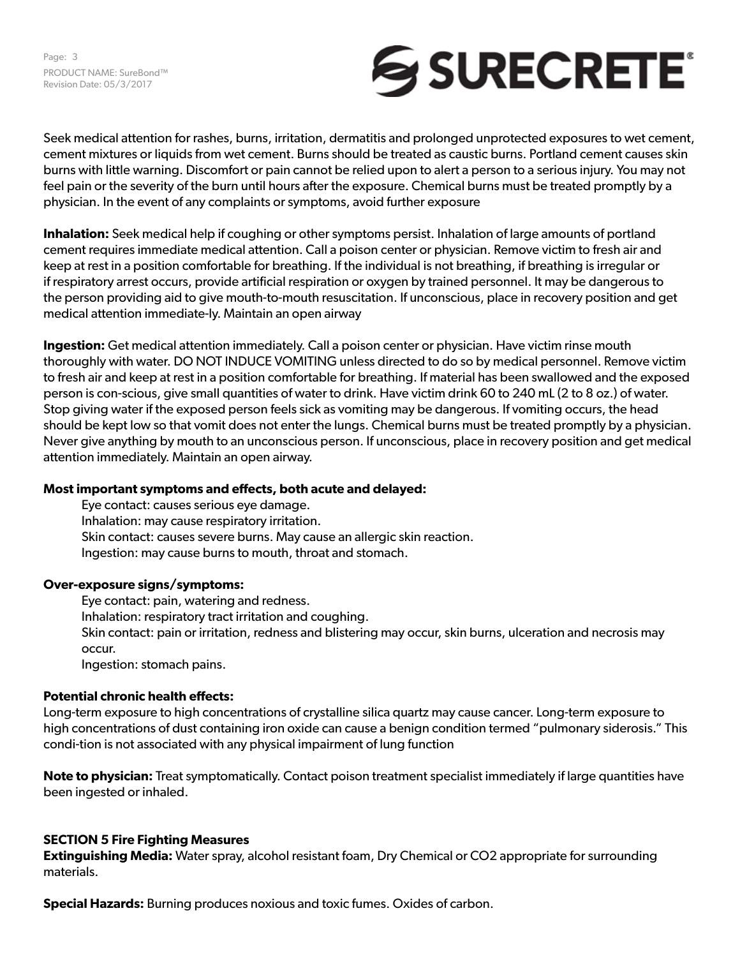Page: 3 PRODUCT NAME: SureBond™ Revision Date: 05/3/2017



Seek medical attention for rashes, burns, irritation, dermatitis and prolonged unprotected exposures to wet cement, cement mixtures or liquids from wet cement. Burns should be treated as caustic burns. Portland cement causes skin burns with little warning. Discomfort or pain cannot be relied upon to alert a person to a serious injury. You may not feel pain or the severity of the burn until hours after the exposure. Chemical burns must be treated promptly by a physician. In the event of any complaints or symptoms, avoid further exposure

**Inhalation:** Seek medical help if coughing or other symptoms persist. Inhalation of large amounts of portland cement requires immediate medical attention. Call a poison center or physician. Remove victim to fresh air and keep at rest in a position comfortable for breathing. If the individual is not breathing, if breathing is irregular or if respiratory arrest occurs, provide artificial respiration or oxygen by trained personnel. It may be dangerous to the person providing aid to give mouth-to-mouth resuscitation. If unconscious, place in recovery position and get medical attention immediate-ly. Maintain an open airway

**Ingestion:** Get medical attention immediately. Call a poison center or physician. Have victim rinse mouth thoroughly with water. DO NOT INDUCE VOMITING unless directed to do so by medical personnel. Remove victim to fresh air and keep at rest in a position comfortable for breathing. If material has been swallowed and the exposed person is con-scious, give small quantities of water to drink. Have victim drink 60 to 240 mL (2 to 8 oz.) of water. Stop giving water if the exposed person feels sick as vomiting may be dangerous. If vomiting occurs, the head should be kept low so that vomit does not enter the lungs. Chemical burns must be treated promptly by a physician. Never give anything by mouth to an unconscious person. If unconscious, place in recovery position and get medical attention immediately. Maintain an open airway.

# **Most important symptoms and effects, both acute and delayed:**

Eye contact: causes serious eye damage. Inhalation: may cause respiratory irritation. Skin contact: causes severe burns. May cause an allergic skin reaction. Ingestion: may cause burns to mouth, throat and stomach.

#### **Over-exposure signs/symptoms:**

Eye contact: pain, watering and redness. Inhalation: respiratory tract irritation and coughing. Skin contact: pain or irritation, redness and blistering may occur, skin burns, ulceration and necrosis may occur. Ingestion: stomach pains.

# **Potential chronic health effects:**

Long-term exposure to high concentrations of crystalline silica quartz may cause cancer. Long-term exposure to high concentrations of dust containing iron oxide can cause a benign condition termed "pulmonary siderosis." This condi-tion is not associated with any physical impairment of lung function

**Note to physician:** Treat symptomatically. Contact poison treatment specialist immediately if large quantities have been ingested or inhaled.

# **SECTION 5 Fire Fighting Measures**

**Extinguishing Media:** Water spray, alcohol resistant foam, Dry Chemical or CO2 appropriate for surrounding materials.

**Special Hazards:** Burning produces noxious and toxic fumes. Oxides of carbon.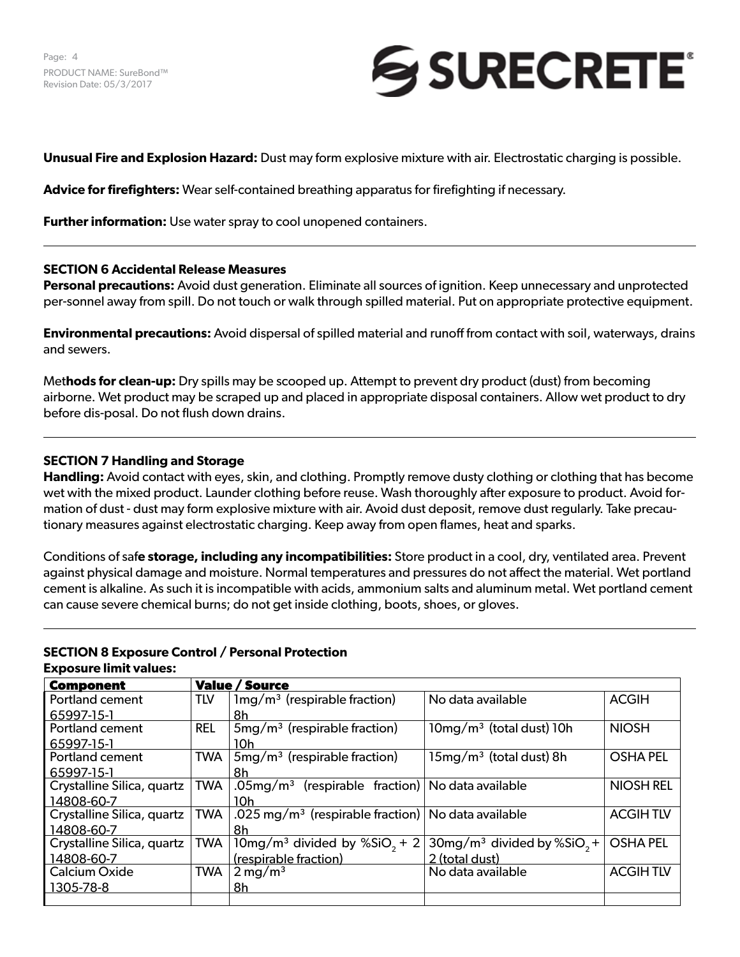

**Unusual Fire and Explosion Hazard:** Dust may form explosive mixture with air. Electrostatic charging is possible.

**Advice for firefighters:** Wear self-contained breathing apparatus for firefighting if necessary.

**Further information:** Use water spray to cool unopened containers.

#### **SECTION 6 Accidental Release Measures**

**Personal precautions:** Avoid dust generation. Eliminate all sources of ignition. Keep unnecessary and unprotected per-sonnel away from spill. Do not touch or walk through spilled material. Put on appropriate protective equipment.

**Environmental precautions:** Avoid dispersal of spilled material and runoff from contact with soil, waterways, drains and sewers.

Met**hods for clean-up:** Dry spills may be scooped up. Attempt to prevent dry product (dust) from becoming airborne. Wet product may be scraped up and placed in appropriate disposal containers. Allow wet product to dry before dis-posal. Do not flush down drains.

#### **SECTION 7 Handling and Storage**

**Handling:** Avoid contact with eyes, skin, and clothing. Promptly remove dusty clothing or clothing that has become wet with the mixed product. Launder clothing before reuse. Wash thoroughly after exposure to product. Avoid formation of dust - dust may form explosive mixture with air. Avoid dust deposit, remove dust regularly. Take precautionary measures against electrostatic charging. Keep away from open flames, heat and sparks.

Conditions of saf**e storage, including any incompatibilities:** Store product in a cool, dry, ventilated area. Prevent against physical damage and moisture. Normal temperatures and pressures do not affect the material. Wet portland cement is alkaline. As such it is incompatible with acids, ammonium salts and aluminum metal. Wet portland cement can cause severe chemical burns; do not get inside clothing, boots, shoes, or gloves.

#### **SECTION 8 Exposure Control / Personal Protection Exposure limit values:**

| <b>Component</b>           | Value / Source |                                                                  |                                                       |                  |  |
|----------------------------|----------------|------------------------------------------------------------------|-------------------------------------------------------|------------------|--|
| Portland cement            | <b>TLV</b>     | $lmg/m3$ (respirable fraction)                                   | No data available                                     | <b>ACGIH</b>     |  |
| 65997-15-1                 |                | 8h                                                               |                                                       |                  |  |
| <b>Portland cement</b>     | <b>REL</b>     | $5mg/m3$ (respirable fraction)                                   | 10mg/m <sup>3</sup> (total dust) 10h                  | <b>NIOSH</b>     |  |
| 65997-15-1                 |                | 10h.                                                             |                                                       |                  |  |
| <b>Portland cement</b>     | <b>TWA</b>     | $5mg/m3$ (respirable fraction)                                   | 15mg/m <sup>3</sup> (total dust) 8h                   | <b>OSHA PEL</b>  |  |
| 65997-15-1                 |                | 8h                                                               |                                                       |                  |  |
| Crystalline Silica, quartz | <b>TWA</b>     | .05mg/m <sup>3</sup> (respirable fraction)   No data available   |                                                       | <b>NIOSH REL</b> |  |
| 14808-60-7                 |                | 10h.                                                             |                                                       |                  |  |
| Crystalline Silica, quartz | <b>TWA</b>     | .025 mg/m <sup>3</sup> (respirable fraction)   No data available |                                                       | <b>ACGIHTLV</b>  |  |
| 14808-60-7                 |                | 8h                                                               |                                                       |                  |  |
| Crystalline Silica, quartz | <b>TWA</b>     | $10mg/m3$ divided by %SiO <sub>2</sub> + 2                       | $30$ mg/m <sup>3</sup> divided by %SiO <sub>2</sub> + | <b>OSHA PEL</b>  |  |
| 14808-60-7                 |                | (respirable fraction)                                            | 2 (total dust)                                        |                  |  |
| <b>Calcium Oxide</b>       | <b>TWA</b>     | $2 \,\mathrm{mg/m^3}$                                            | No data available                                     | <b>ACGIHTLV</b>  |  |
| 1305-78-8                  |                | 8h                                                               |                                                       |                  |  |
|                            |                |                                                                  |                                                       |                  |  |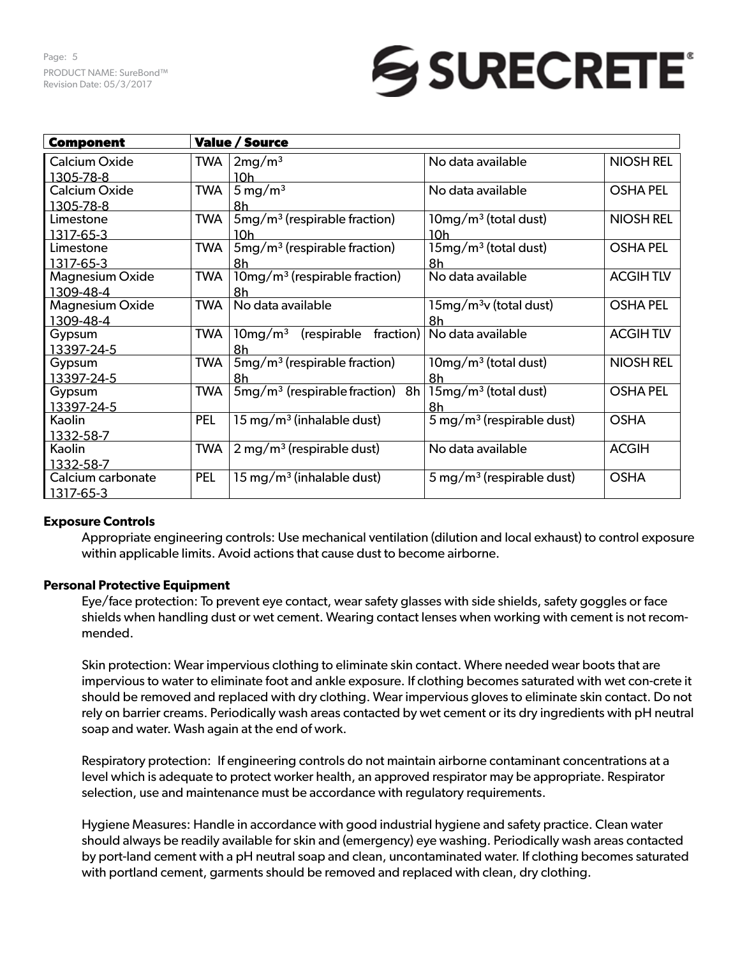Page: 5 PRODUCT NAME: SureBond™ Revision Date: 05/3/2017

# SURECRETE®

| <b>Component</b>       | <b>Value / Source</b> |                                            |                                         |                  |
|------------------------|-----------------------|--------------------------------------------|-----------------------------------------|------------------|
| Calcium Oxide          | <b>TWA</b>            | 2mg/m <sup>3</sup>                         | No data available                       | <b>NIOSH REL</b> |
| 1305-78-8              |                       | 10h                                        |                                         |                  |
| <b>Calcium Oxide</b>   | <b>TWA</b>            | $5 \,\mathrm{mg/m^3}$                      | No data available                       | <b>OSHA PEL</b>  |
| 1305-78-8              |                       | 8h                                         |                                         |                  |
| Limestone              | <b>TWA</b>            | $5mg/m3$ (respirable fraction)             | $10mg/m3$ (total dust)                  | <b>NIOSH REL</b> |
| 1317-65-3              |                       | 10h                                        | <u> 10h</u>                             |                  |
| Limestone              | <b>TWA</b>            | $5mg/m3$ (respirable fraction)             | $15mg/m3$ (total dust)                  | <b>OSHA PEL</b>  |
| 1317-65-3              |                       | 8h                                         | 8h                                      |                  |
| Magnesium Oxide        | <b>TWA</b>            | 10mg/m <sup>3</sup> (respirable fraction)  | No data available                       | <b>ACGIHTLV</b>  |
| 1309-48-4              |                       | 8h                                         |                                         |                  |
| <b>Magnesium Oxide</b> | <b>TWA</b>            | No data available                          | $15mg/m3v$ (total dust)                 | <b>OSHA PEL</b>  |
| 1309-48-4              |                       |                                            | 8h                                      |                  |
| Gypsum                 | <b>TWA</b>            | $10$ mg/m $^3$<br>(respirable<br>fraction) | No data available                       | <b>ACGIHTLV</b>  |
| 13397-24-5             |                       | 8h                                         |                                         |                  |
| Gypsum                 | <b>TWA</b>            | $5mg/m3$ (respirable fraction)             | $10mg/m3$ (total dust)                  | <b>NIOSH REL</b> |
| 13397-24-5             |                       | 8h                                         | 8h                                      |                  |
| Gypsum                 | <b>TWA</b>            | $5mg/m3$ (respirable fraction) 8h          | $15mg/m3$ (total dust)                  | <b>OSHA PEL</b>  |
| 13397-24-5             |                       |                                            | 8h                                      |                  |
| Kaolin                 | <b>PEL</b>            | 15 mg/m <sup>3</sup> (inhalable dust)      | $5 \,\mathrm{mg/m^3}$ (respirable dust) | <b>OSHA</b>      |
| 1332-58-7              |                       |                                            |                                         |                  |
| Kaolin                 | <b>TWA</b>            | $2 \,\mathrm{mg/m^3}$ (respirable dust)    | No data available                       | <b>ACGIH</b>     |
| 1332-58-7              |                       |                                            |                                         |                  |
| Calcium carbonate      | <b>PEL</b>            | 15 mg/m <sup>3</sup> (inhalable dust)      | $5 \,\mathrm{mg/m^3}$ (respirable dust) | <b>OSHA</b>      |
| $1317 - 65 - 3$        |                       |                                            |                                         |                  |

# **Exposure Controls**

Appropriate engineering controls: Use mechanical ventilation (dilution and local exhaust) to control exposure within applicable limits. Avoid actions that cause dust to become airborne.

# **Personal Protective Equipment**

Eye/face protection: To prevent eye contact, wear safety glasses with side shields, safety goggles or face shields when handling dust or wet cement. Wearing contact lenses when working with cement is not recommended.

Skin protection: Wear impervious clothing to eliminate skin contact. Where needed wear boots that are impervious to water to eliminate foot and ankle exposure. If clothing becomes saturated with wet con-crete it should be removed and replaced with dry clothing. Wear impervious gloves to eliminate skin contact. Do not rely on barrier creams. Periodically wash areas contacted by wet cement or its dry ingredients with pH neutral soap and water. Wash again at the end of work.

Respiratory protection: If engineering controls do not maintain airborne contaminant concentrations at a level which is adequate to protect worker health, an approved respirator may be appropriate. Respirator selection, use and maintenance must be accordance with regulatory requirements.

Hygiene Measures: Handle in accordance with good industrial hygiene and safety practice. Clean water should always be readily available for skin and (emergency) eye washing. Periodically wash areas contacted by port-land cement with a pH neutral soap and clean, uncontaminated water. If clothing becomes saturated with portland cement, garments should be removed and replaced with clean, dry clothing.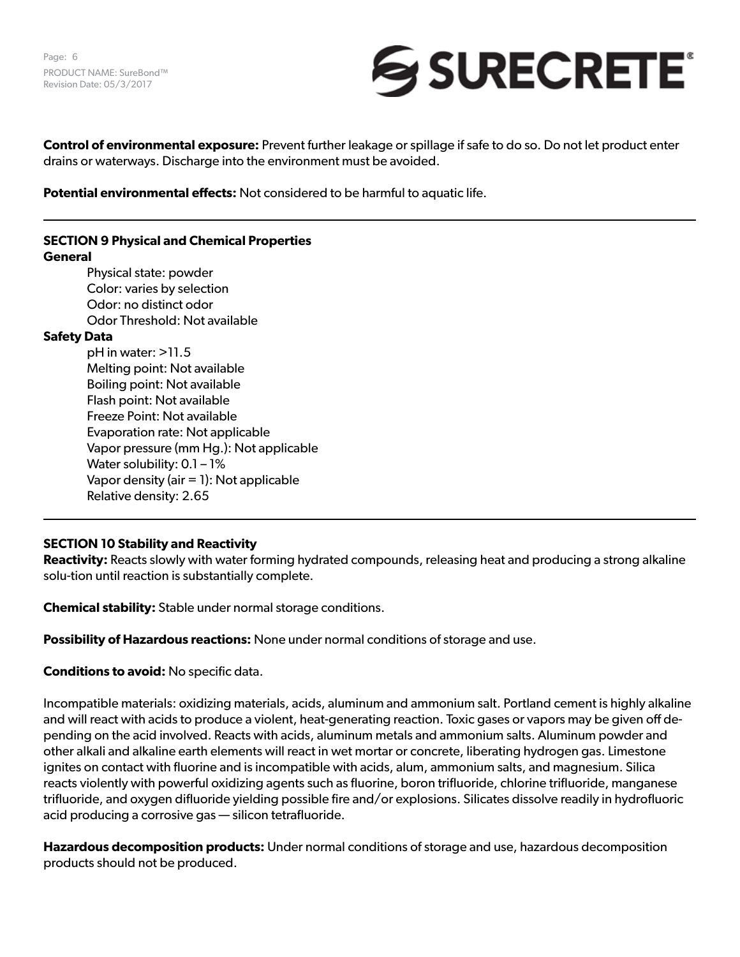Page: 6 PRODUCT NAME: SureBond™ Revision Date: 05/3/2017



**Control of environmental exposure:** Prevent further leakage or spillage if safe to do so. Do not let product enter drains or waterways. Discharge into the environment must be avoided.

**Potential environmental effects:** Not considered to be harmful to aquatic life.

#### **SECTION 9 Physical and Chemical Properties General**

Physical state: powder Color: varies by selection Odor: no distinct odor Odor Threshold: Not available

# **Safety Data**

pH in water: >11.5 Melting point: Not available Boiling point: Not available Flash point: Not available Freeze Point: Not available Evaporation rate: Not applicable Vapor pressure (mm Hg.): Not applicable Water solubility: 0.1 - 1% Vapor density (air  $= 1$ ): Not applicable Relative density: 2.65

# **SECTION 10 Stability and Reactivity**

**Reactivity:** Reacts slowly with water forming hydrated compounds, releasing heat and producing a strong alkaline solu-tion until reaction is substantially complete.

**Chemical stability:** Stable under normal storage conditions.

**Possibility of Hazardous reactions:** None under normal conditions of storage and use.

# **Conditions to avoid:** No specific data.

Incompatible materials: oxidizing materials, acids, aluminum and ammonium salt. Portland cement is highly alkaline and will react with acids to produce a violent, heat-generating reaction. Toxic gases or vapors may be given off depending on the acid involved. Reacts with acids, aluminum metals and ammonium salts. Aluminum powder and other alkali and alkaline earth elements will react in wet mortar or concrete, liberating hydrogen gas. Limestone ignites on contact with fluorine and is incompatible with acids, alum, ammonium salts, and magnesium. Silica reacts violently with powerful oxidizing agents such as fluorine, boron trifluoride, chlorine trifluoride, manganese trifluoride, and oxygen difluoride yielding possible fire and/or explosions. Silicates dissolve readily in hydrofluoric acid producing a corrosive gas — silicon tetrafluoride.

**Hazardous decomposition products:** Under normal conditions of storage and use, hazardous decomposition products should not be produced.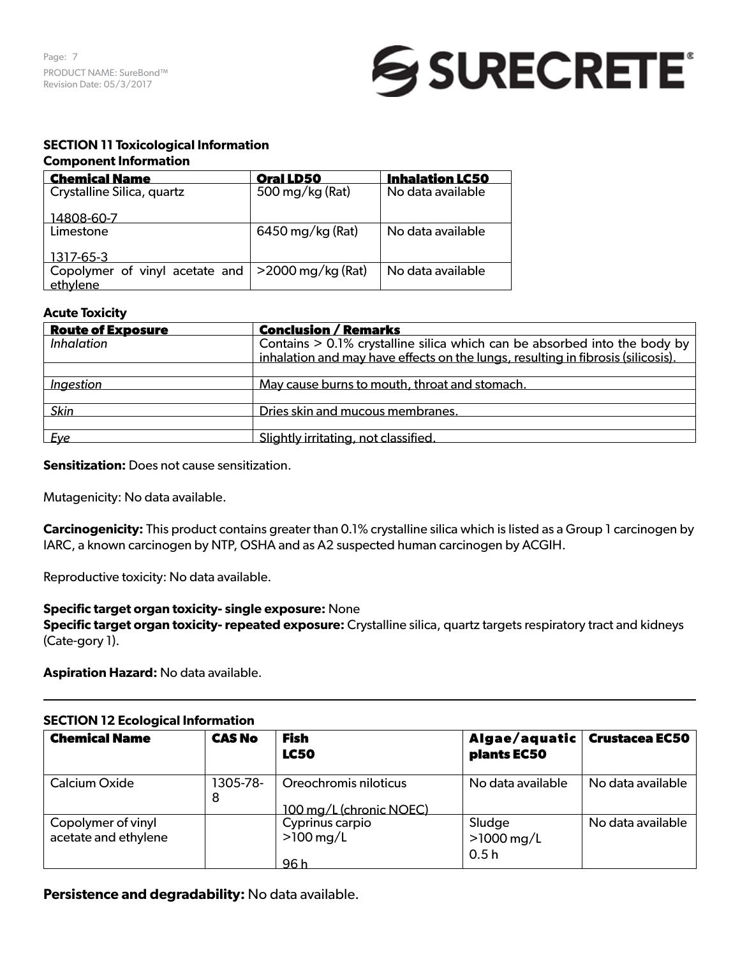

# **SECTION 11 Toxicological Information**

#### **Component Information**

| <b>Chemical Name</b>                                              | <b>Oral LD50</b> | <b>Inhalation LC50</b> |
|-------------------------------------------------------------------|------------------|------------------------|
| Crystalline Silica, quartz                                        | 500 mg/kg (Rat)  | No data available      |
| 14808-60-7                                                        |                  |                        |
| Limestone                                                         | 6450 mg/kg (Rat) | No data available      |
| 1317-65-3                                                         |                  |                        |
| Copolymer of vinyl acetate and $  > 2000$ mg/kg (Rat)<br>ethylene |                  | No data available      |

# **Acute Toxicity**

| <b>Route of Exposure</b>       | <b>Conclusion / Remarks</b>                                                      |
|--------------------------------|----------------------------------------------------------------------------------|
| <i>Inhalation</i>              | Contains $> 0.1\%$ crystalline silica which can be absorbed into the body by     |
|                                | inhalation and may have effects on the lungs, resulting in fibrosis (silicosis). |
|                                |                                                                                  |
| <i><u><b>Ingestion</b></u></i> | May cause burns to mouth, throat and stomach.                                    |
|                                |                                                                                  |
| <b>Skin</b>                    | Dries skin and mucous membranes.                                                 |
|                                |                                                                                  |
| <b>Eye</b>                     | Slightly irritating, not classified.                                             |

**Sensitization:** Does not cause sensitization.

Mutagenicity: No data available.

**Carcinogenicity:** This product contains greater than 0.1% crystalline silica which is listed as a Group 1 carcinogen by IARC, a known carcinogen by NTP, OSHA and as A2 suspected human carcinogen by ACGIH.

Reproductive toxicity: No data available.

# **Specific target organ toxicity- single exposure:** None

**Specific target organ toxicity- repeated exposure:** Crystalline silica, quartz targets respiratory tract and kidneys (Cate-gory 1).

**Aspiration Hazard:** No data available.

# **SECTION 12 Ecological Information**

| <b>Chemical Name</b>                       | <b>CAS No</b> | <b>Fish</b><br><b>LC50</b>                       | Algae/aquatic<br>plants EC50              | <b>Crustacea EC50</b> |
|--------------------------------------------|---------------|--------------------------------------------------|-------------------------------------------|-----------------------|
| Calcium Oxide                              | 1305-78-<br>8 | Oreochromis niloticus<br>100 mg/L (chronic NOEC) | No data available                         | No data available     |
| Copolymer of vinyl<br>acetate and ethylene |               | Cyprinus carpio<br>$>100$ mg/L<br>96 h           | Sludge<br>$>1000 \,\mathrm{mg/L}$<br>0.5h | No data available     |

**Persistence and degradability:** No data available.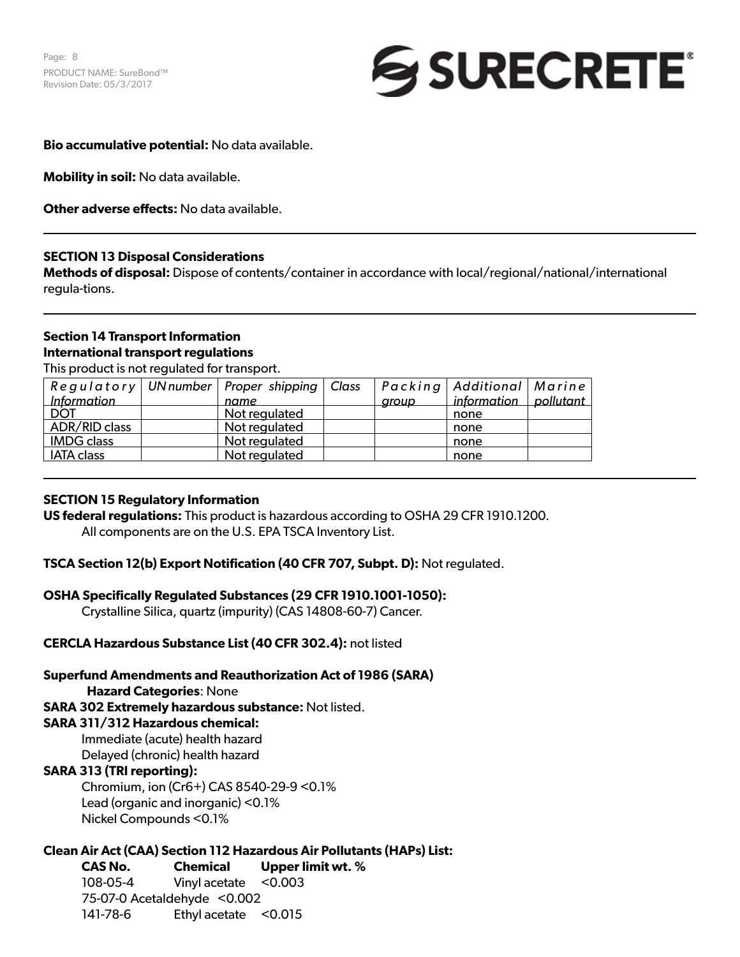# SURECRETE®

**Bio accumulative potential:** No data available.

**Mobility in soil:** No data available.

**Other adverse effects:** No data available.

# **SECTION 13 Disposal Considerations**

**Methods of disposal:** Dispose of contents/container in accordance with local/regional/national/international regula-tions.

# **Section 14 Transport Information International transport regulations**

This product is not regulated for transport.

|                   | $\textsf{Regulatory} \mid \textsf{UN number} \mid \textsf{Proper shipping} \mid \textsf{Class}$ |       | Packing   Additional   Marine |  |
|-------------------|-------------------------------------------------------------------------------------------------|-------|-------------------------------|--|
| Information       | name                                                                                            | aroup | information $\vert$ pollutant |  |
| <b>DOT</b>        | Not regulated                                                                                   |       | none                          |  |
| ADR/RID class     | Not regulated                                                                                   |       | none                          |  |
| <b>IMDG class</b> | Not regulated                                                                                   |       | none                          |  |
| <b>IATA class</b> | Not regulated                                                                                   |       | none                          |  |

# **SECTION 15 Regulatory Information**

**US federal regulations:** This product is hazardous according to OSHA 29 CFR 1910.1200. All components are on the U.S. EPA TSCA Inventory List.

# **TSCA Section 12(b) Export Notification (40 CFR 707, Subpt. D):** Not regulated.

# **OSHA Specifically Regulated Substances (29 CFR 1910.1001-1050):**

Crystalline Silica, quartz (impurity) (CAS 14808-60-7) Cancer.

# **CERCLA Hazardous Substance List (40 CFR 302.4):** not listed

# **Superfund Amendments and Reauthorization Act of 1986 (SARA)**

**Hazard Categories**: None

**SARA 302 Extremely hazardous substance:** Not listed.

# **SARA 311/312 Hazardous chemical:**

Immediate (acute) health hazard Delayed (chronic) health hazard

# **SARA 313 (TRI reporting):**

Chromium, ion (Cr6+) CAS 8540-29-9 <0.1% Lead (organic and inorganic) <0.1% Nickel Compounds <0.1%

# **Clean Air Act (CAA) Section 112 Hazardous Air Pollutants (HAPs) List:**

**CAS No. Chemical Upper limit wt. %**  108-05-4 Vinyl acetate <0.003 75-07-0 Acetaldehyde <0.002 141-78-6 Ethyl acetate <0.015